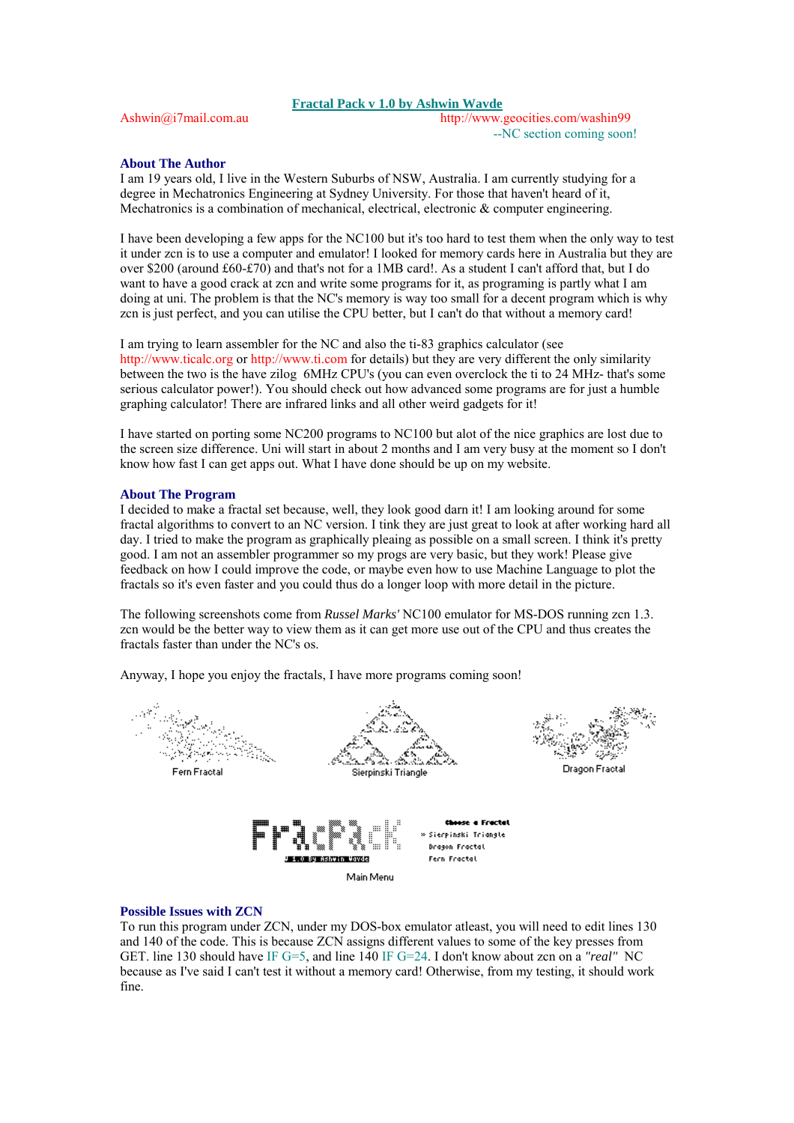## **Fractal Pack v 1.0 by Ashwin Wavde**

Ashwin@i7mail.com.au http://www.geocities.com/washin99 --NC section coming soon!

## **About The Author**

I am 19 years old, I live in the Western Suburbs of NSW, Australia. I am currently studying for a degree in Mechatronics Engineering at Sydney University. For those that haven't heard of it, Mechatronics is a combination of mechanical, electrical, electronic & computer engineering.

I have been developing a few apps for the NC100 but it's too hard to testthem when the only way to test it under zcn is to use a computer and emulator! I looked for memory cards here in Australia but they are over \$200 (around £60-£70) and that's not for a 1MB card!. As a student I can't afford that, but I do want to have a good crack at zcn and write some programs for it, as programing is partly what I am doing at uni. The problem is that the NC's memory is way too small for a decent program which is why zcn is just perfect, and you can utilise the CPU better, but I can't do that without a memory card!

I am trying to learn assembler for the NC and also the ti-83 graphics calculator (see http://www.ticalc.org or http://www.ti.com for details) but they are very different the only similarity between the two is the have zilog 6MHz CPU's (you can even overclock the ti to 24 MHz- that's some serious calculator power!). You should check out how advanced some programs are for just a humble graphing calculator! There are infrared links and all other weird gadgets for it!

I have started on porting some NC200 programs to NC100 but alot of the nice graphics are lost due to the screen size difference. Uni will start in about 2 months and I am very busy at the moment so I don't know how fast I can get apps out. What I have done should be up on my website.

## **About The Program**

I decided to make a fractal set because, well, they look good darn it!I am looking around for some fractal algorithms to convert to an NC version. I tink they are just great to look at after working hard all day. I tried to make the program as graphically pleaing as possible on a small screen. I think it's pretty good. I am not an assembler programmer so my progs are very basic, but they work! Please give feedback on how I could improve the code, or maybe even how to use Machine Language to plot the fractals so it's even faster and you could thus do a longer loop with more detail in the picture.

The following screenshots come from *Russel Marks'* NC100 emulator for MS-DOS running zcn 1.3. zcn would be the better way to view them as it can get more use out of the CPU and thus creates the fractals faster than under the NC's os.

Anyway, I hope you enjoy the fractals, I have more programs coming soon!



## **Possible Issues with ZCN**

To run this program under ZCN, under my DOS-box emulator atleast, you will need to edit lines 130 and 140 of the code. This is because ZCN assigns different values to some of the key presses from GET. line 130 should have IF G=5, and line 140 IF G=24. I don't know about zcn on a *"real"* NC because as I've said I can't test it without a memory card! Otherwise, from my testing, it should work fine.